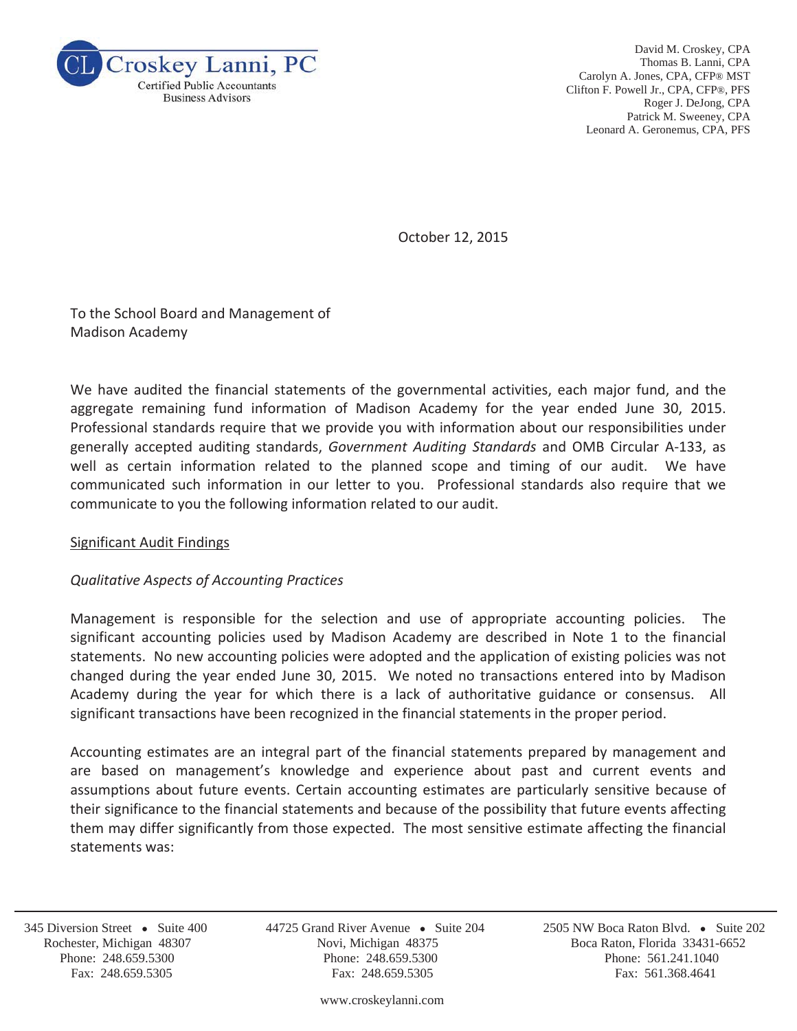

David M. Croskey, CPA Thomas B. Lanni, CPA Carolyn A. Jones, CPA, CFP® MST Clifton F. Powell Jr., CPA, CFP®, PFS Roger J. DeJong, CPA Patrick M. Sweeney, CPA Leonard A. Geronemus, CPA, PFS

October 12, 2015

To the School Board and Management of Madison Academy

We have audited the financial statements of the governmental activities, each major fund, and the aggregate remaining fund information of Madison Academy for the year ended June 30, 2015. Professional standards require that we provide you with information about our responsibilities under generally accepted auditing standards, *Government Auditing Standards* and OMB Circular A-133, as well as certain information related to the planned scope and timing of our audit. We have communicated such information in our letter to you. Professional standards also require that we communicate to you the following information related to our audit.

### Significant Audit Findings

# *Qualitative Aspects of Accounting Practices*

Management is responsible for the selection and use of appropriate accounting policies. The significant accounting policies used by Madison Academy are described in Note 1 to the financial statements. No new accounting policies were adopted and the application of existing policies was not changed during the year ended June 30, 2015. We noted no transactions entered into by Madison Academy during the year for which there is a lack of authoritative guidance or consensus. All significant transactions have been recognized in the financial statements in the proper period.

Accounting estimates are an integral part of the financial statements prepared by management and are based on management's knowledge and experience about past and current events and assumptions about future events. Certain accounting estimates are particularly sensitive because of their significance to the financial statements and because of the possibility that future events affecting them may differ significantly from those expected. The most sensitive estimate affecting the financial statements was:

j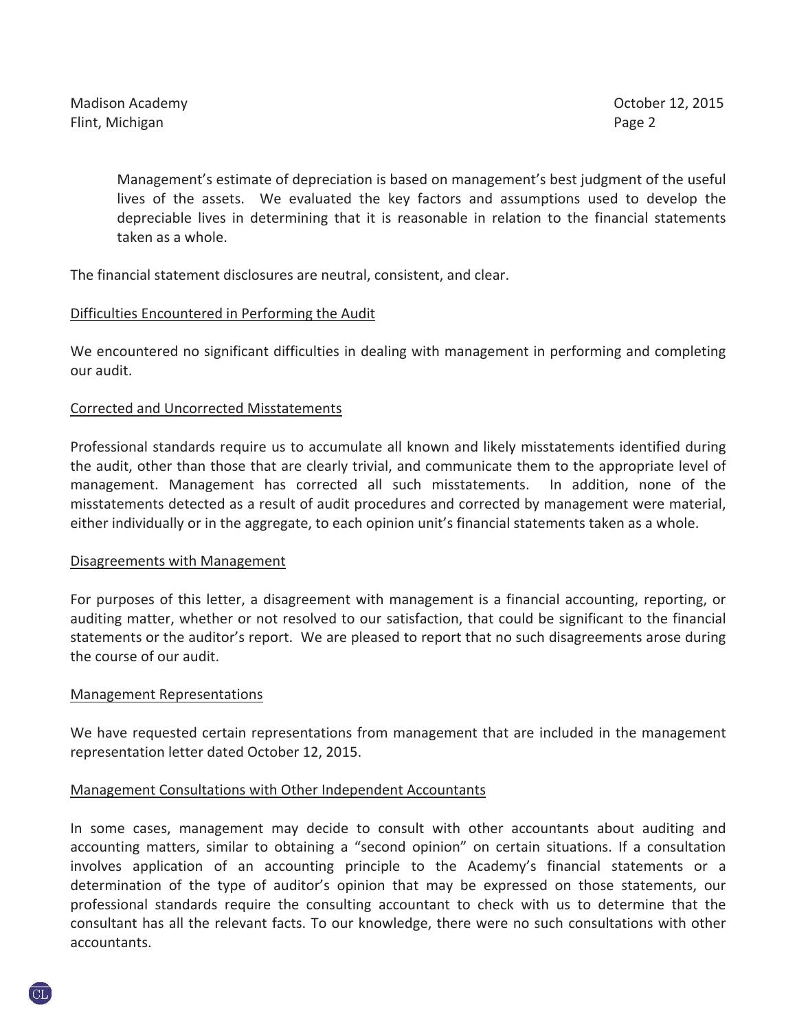Management's estimate of depreciation is based on management's best judgment of the useful lives of the assets. We evaluated the key factors and assumptions used to develop the depreciable lives in determining that it is reasonable in relation to the financial statements taken as a whole.

The financial statement disclosures are neutral, consistent, and clear.

## Difficulties Encountered in Performing the Audit

We encountered no significant difficulties in dealing with management in performing and completing our audit.

## Corrected and Uncorrected Misstatements

Professional standards require us to accumulate all known and likely misstatements identified during the audit, other than those that are clearly trivial, and communicate them to the appropriate level of management. Management has corrected all such misstatements. In addition, none of the misstatements detected as a result of audit procedures and corrected by management were material, either individually or in the aggregate, to each opinion unit's financial statements taken as a whole.

### Disagreements with Management

For purposes of this letter, a disagreement with management is a financial accounting, reporting, or auditing matter, whether or not resolved to our satisfaction, that could be significant to the financial statements or the auditor's report. We are pleased to report that no such disagreements arose during the course of our audit.

### Management Representations

We have requested certain representations from management that are included in the management representation letter dated October 12, 2015.

# Management Consultations with Other Independent Accountants

In some cases, management may decide to consult with other accountants about auditing and accounting matters, similar to obtaining a "second opinion" on certain situations. If a consultation involves application of an accounting principle to the Academy's financial statements or a determination of the type of auditor's opinion that may be expressed on those statements, our professional standards require the consulting accountant to check with us to determine that the consultant has all the relevant facts. To our knowledge, there were no such consultations with other accountants.